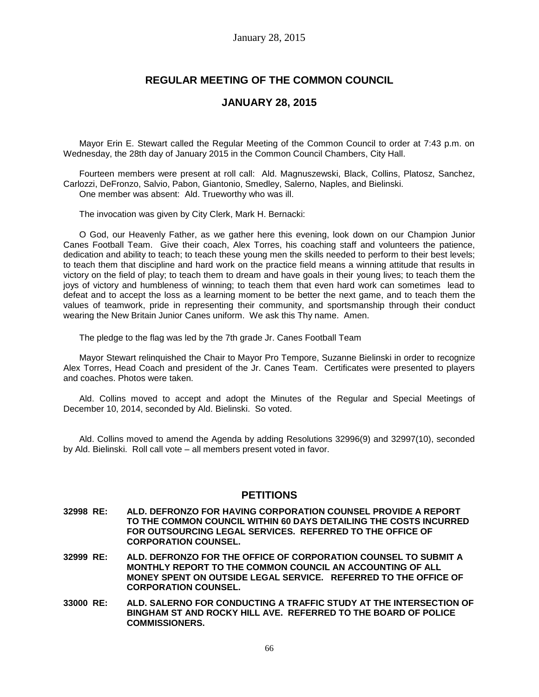# **REGULAR MEETING OF THE COMMON COUNCIL**

### **JANUARY 28, 2015**

Mayor Erin E. Stewart called the Regular Meeting of the Common Council to order at 7:43 p.m. on Wednesday, the 28th day of January 2015 in the Common Council Chambers, City Hall.

Fourteen members were present at roll call: Ald. Magnuszewski, Black, Collins, Platosz, Sanchez, Carlozzi, DeFronzo, Salvio, Pabon, Giantonio, Smedley, Salerno, Naples, and Bielinski. One member was absent: Ald. Trueworthy who was ill.

The invocation was given by City Clerk, Mark H. Bernacki:

O God, our Heavenly Father, as we gather here this evening, look down on our Champion Junior Canes Football Team. Give their coach, Alex Torres, his coaching staff and volunteers the patience, dedication and ability to teach; to teach these young men the skills needed to perform to their best levels; to teach them that discipline and hard work on the practice field means a winning attitude that results in victory on the field of play; to teach them to dream and have goals in their young lives; to teach them the joys of victory and humbleness of winning; to teach them that even hard work can sometimes lead to defeat and to accept the loss as a learning moment to be better the next game, and to teach them the values of teamwork, pride in representing their community, and sportsmanship through their conduct wearing the New Britain Junior Canes uniform. We ask this Thy name. Amen.

The pledge to the flag was led by the 7th grade Jr. Canes Football Team

Mayor Stewart relinquished the Chair to Mayor Pro Tempore, Suzanne Bielinski in order to recognize Alex Torres, Head Coach and president of the Jr. Canes Team. Certificates were presented to players and coaches. Photos were taken.

Ald. Collins moved to accept and adopt the Minutes of the Regular and Special Meetings of December 10, 2014, seconded by Ald. Bielinski. So voted.

Ald. Collins moved to amend the Agenda by adding Resolutions 32996(9) and 32997(10), seconded by Ald. Bielinski. Roll call vote – all members present voted in favor.

## **PETITIONS**

- **32998 RE: ALD. DEFRONZO FOR HAVING CORPORATION COUNSEL PROVIDE A REPORT TO THE COMMON COUNCIL WITHIN 60 DAYS DETAILING THE COSTS INCURRED FOR OUTSOURCING LEGAL SERVICES. REFERRED TO THE OFFICE OF CORPORATION COUNSEL.**
- **32999 RE: ALD. DEFRONZO FOR THE OFFICE OF CORPORATION COUNSEL TO SUBMIT A MONTHLY REPORT TO THE COMMON COUNCIL AN ACCOUNTING OF ALL MONEY SPENT ON OUTSIDE LEGAL SERVICE. REFERRED TO THE OFFICE OF CORPORATION COUNSEL.**
- **33000 RE: ALD. SALERNO FOR CONDUCTING A TRAFFIC STUDY AT THE INTERSECTION OF BINGHAM ST AND ROCKY HILL AVE. REFERRED TO THE BOARD OF POLICE COMMISSIONERS.**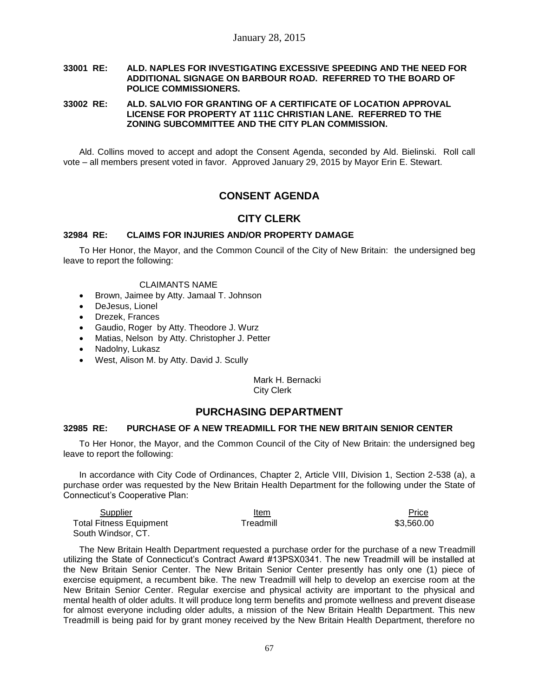### **33001 RE: ALD. NAPLES FOR INVESTIGATING EXCESSIVE SPEEDING AND THE NEED FOR ADDITIONAL SIGNAGE ON BARBOUR ROAD. REFERRED TO THE BOARD OF POLICE COMMISSIONERS.**

### **33002 RE: ALD. SALVIO FOR GRANTING OF A CERTIFICATE OF LOCATION APPROVAL LICENSE FOR PROPERTY AT 111C CHRISTIAN LANE. REFERRED TO THE ZONING SUBCOMMITTEE AND THE CITY PLAN COMMISSION.**

Ald. Collins moved to accept and adopt the Consent Agenda, seconded by Ald. Bielinski. Roll call vote – all members present voted in favor. Approved January 29, 2015 by Mayor Erin E. Stewart.

# **CONSENT AGENDA**

### **CITY CLERK**

### **32984 RE: CLAIMS FOR INJURIES AND/OR PROPERTY DAMAGE**

To Her Honor, the Mayor, and the Common Council of the City of New Britain: the undersigned beg leave to report the following:

### CLAIMANTS NAME

- Brown, Jaimee by Atty. Jamaal T. Johnson
- DeJesus, Lionel
- Drezek, Frances
- Gaudio, Roger by Atty. Theodore J. Wurz
- Matias, Nelson by Atty. Christopher J. Petter
- Nadolny, Lukasz
- West, Alison M. by Atty. David J. Scully

Mark H. Bernacki City Clerk

### **PURCHASING DEPARTMENT**

### **32985 RE: PURCHASE OF A NEW TREADMILL FOR THE NEW BRITAIN SENIOR CENTER**

To Her Honor, the Mayor, and the Common Council of the City of New Britain: the undersigned beg leave to report the following:

In accordance with City Code of Ordinances, Chapter 2, Article VIII, Division 1, Section 2-538 (a), a purchase order was requested by the New Britain Health Department for the following under the State of Connecticut's Cooperative Plan:

| Supplier                       | Item      | Price<br>_____ |
|--------------------------------|-----------|----------------|
| <b>Total Fitness Equipment</b> | ™readmill | \$3.560.00     |
| South Windsor, CT.             |           |                |

The New Britain Health Department requested a purchase order for the purchase of a new Treadmill utilizing the State of Connecticut's Contract Award #13PSX0341. The new Treadmill will be installed at the New Britain Senior Center. The New Britain Senior Center presently has only one (1) piece of exercise equipment, a recumbent bike. The new Treadmill will help to develop an exercise room at the New Britain Senior Center. Regular exercise and physical activity are important to the physical and mental health of older adults. It will produce long term benefits and promote wellness and prevent disease for almost everyone including older adults, a mission of the New Britain Health Department. This new Treadmill is being paid for by grant money received by the New Britain Health Department, therefore no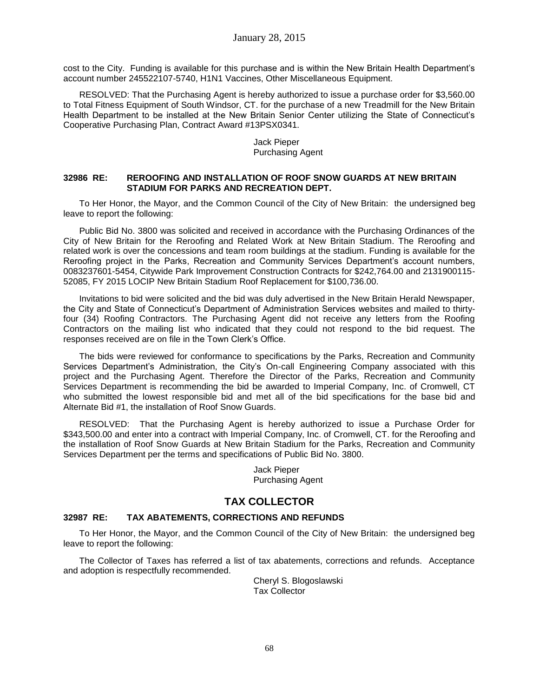cost to the City. Funding is available for this purchase and is within the New Britain Health Department's account number 245522107-5740, H1N1 Vaccines, Other Miscellaneous Equipment.

RESOLVED: That the Purchasing Agent is hereby authorized to issue a purchase order for \$3,560.00 to Total Fitness Equipment of South Windsor, CT. for the purchase of a new Treadmill for the New Britain Health Department to be installed at the New Britain Senior Center utilizing the State of Connecticut's Cooperative Purchasing Plan, Contract Award #13PSX0341.

### Jack Pieper Purchasing Agent

### **32986 RE: REROOFING AND INSTALLATION OF ROOF SNOW GUARDS AT NEW BRITAIN STADIUM FOR PARKS AND RECREATION DEPT.**

To Her Honor, the Mayor, and the Common Council of the City of New Britain: the undersigned beg leave to report the following:

Public Bid No. 3800 was solicited and received in accordance with the Purchasing Ordinances of the City of New Britain for the Reroofing and Related Work at New Britain Stadium. The Reroofing and related work is over the concessions and team room buildings at the stadium. Funding is available for the Reroofing project in the Parks, Recreation and Community Services Department's account numbers, 0083237601-5454, Citywide Park Improvement Construction Contracts for \$242,764.00 and 2131900115- 52085, FY 2015 LOCIP New Britain Stadium Roof Replacement for \$100,736.00.

Invitations to bid were solicited and the bid was duly advertised in the New Britain Herald Newspaper, the City and State of Connecticut's Department of Administration Services websites and mailed to thirtyfour (34) Roofing Contractors. The Purchasing Agent did not receive any letters from the Roofing Contractors on the mailing list who indicated that they could not respond to the bid request. The responses received are on file in the Town Clerk's Office.

The bids were reviewed for conformance to specifications by the Parks, Recreation and Community Services Department's Administration, the City's On-call Engineering Company associated with this project and the Purchasing Agent. Therefore the Director of the Parks, Recreation and Community Services Department is recommending the bid be awarded to Imperial Company, Inc. of Cromwell, CT who submitted the lowest responsible bid and met all of the bid specifications for the base bid and Alternate Bid #1, the installation of Roof Snow Guards.

RESOLVED: That the Purchasing Agent is hereby authorized to issue a Purchase Order for \$343,500.00 and enter into a contract with Imperial Company, Inc. of Cromwell, CT. for the Reroofing and the installation of Roof Snow Guards at New Britain Stadium for the Parks, Recreation and Community Services Department per the terms and specifications of Public Bid No. 3800.

> Jack Pieper Purchasing Agent

## **TAX COLLECTOR**

### **32987 RE: TAX ABATEMENTS, CORRECTIONS AND REFUNDS**

To Her Honor, the Mayor, and the Common Council of the City of New Britain: the undersigned beg leave to report the following:

The Collector of Taxes has referred a list of tax abatements, corrections and refunds. Acceptance and adoption is respectfully recommended.

> Cheryl S. Blogoslawski Tax Collector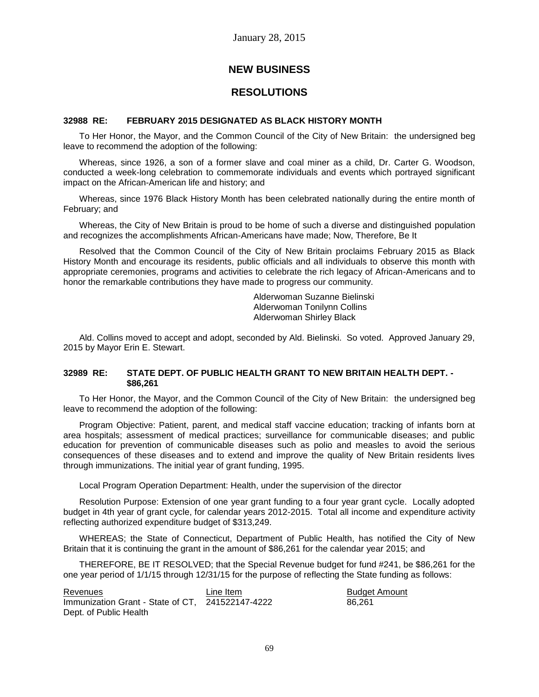## **NEW BUSINESS**

## **RESOLUTIONS**

### **32988 RE: FEBRUARY 2015 DESIGNATED AS BLACK HISTORY MONTH**

To Her Honor, the Mayor, and the Common Council of the City of New Britain: the undersigned beg leave to recommend the adoption of the following:

Whereas, since 1926, a son of a former slave and coal miner as a child, Dr. Carter G. Woodson, conducted a week-long celebration to commemorate individuals and events which portrayed significant impact on the African-American life and history; and

Whereas, since 1976 Black History Month has been celebrated nationally during the entire month of February; and

Whereas, the City of New Britain is proud to be home of such a diverse and distinguished population and recognizes the accomplishments African-Americans have made; Now, Therefore, Be It

Resolved that the Common Council of the City of New Britain proclaims February 2015 as Black History Month and encourage its residents, public officials and all individuals to observe this month with appropriate ceremonies, programs and activities to celebrate the rich legacy of African-Americans and to honor the remarkable contributions they have made to progress our community.

> Alderwoman Suzanne Bielinski Alderwoman Tonilynn Collins Alderwoman Shirley Black

Ald. Collins moved to accept and adopt, seconded by Ald. Bielinski. So voted. Approved January 29, 2015 by Mayor Erin E. Stewart.

### **32989 RE: STATE DEPT. OF PUBLIC HEALTH GRANT TO NEW BRITAIN HEALTH DEPT. - \$86,261**

To Her Honor, the Mayor, and the Common Council of the City of New Britain: the undersigned beg leave to recommend the adoption of the following:

Program Objective: Patient, parent, and medical staff vaccine education; tracking of infants born at area hospitals; assessment of medical practices; surveillance for communicable diseases; and public education for prevention of communicable diseases such as polio and measles to avoid the serious consequences of these diseases and to extend and improve the quality of New Britain residents lives through immunizations. The initial year of grant funding, 1995.

Local Program Operation Department: Health, under the supervision of the director

Resolution Purpose: Extension of one year grant funding to a four year grant cycle. Locally adopted budget in 4th year of grant cycle, for calendar years 2012-2015. Total all income and expenditure activity reflecting authorized expenditure budget of \$313,249.

WHEREAS; the State of Connecticut, Department of Public Health, has notified the City of New Britain that it is continuing the grant in the amount of \$86,261 for the calendar year 2015; and

THEREFORE, BE IT RESOLVED; that the Special Revenue budget for fund #241, be \$86,261 for the one year period of 1/1/15 through 12/31/15 for the purpose of reflecting the State funding as follows:

Revenues **Revenues** Line Item **Budget Amount** Immunization Grant - State of CT, 241522147-4222 86,261Dept. of Public Health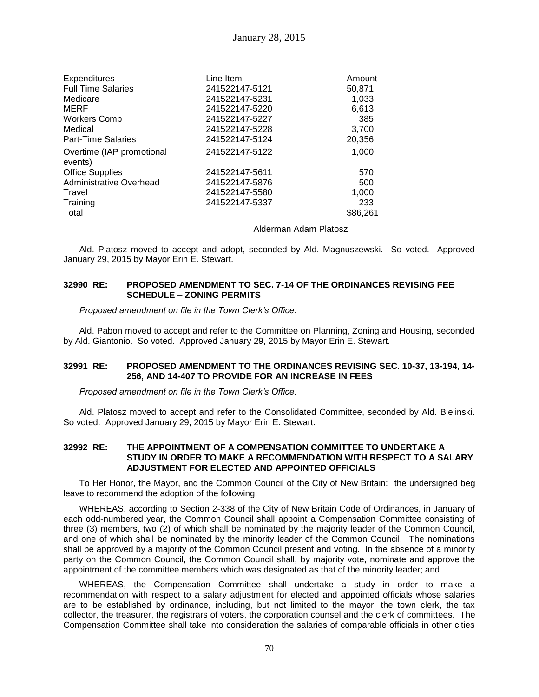| <b>Expenditures</b>                  | Line Item      | Amount   |
|--------------------------------------|----------------|----------|
| <b>Full Time Salaries</b>            | 241522147-5121 | 50,871   |
| Medicare                             | 241522147-5231 | 1,033    |
| MERF                                 | 241522147-5220 | 6,613    |
| <b>Workers Comp</b>                  | 241522147-5227 | 385      |
| Medical                              | 241522147-5228 | 3,700    |
| <b>Part-Time Salaries</b>            | 241522147-5124 | 20,356   |
| Overtime (IAP promotional<br>events) | 241522147-5122 | 1,000    |
| <b>Office Supplies</b>               | 241522147-5611 | 570      |
| Administrative Overhead              | 241522147-5876 | 500      |
| Travel                               | 241522147-5580 | 1,000    |
| Training                             | 241522147-5337 | 233      |
| Total                                |                | \$86,261 |
|                                      |                |          |

### Alderman Adam Platosz

Ald. Platosz moved to accept and adopt, seconded by Ald. Magnuszewski. So voted. Approved January 29, 2015 by Mayor Erin E. Stewart.

### **32990 RE: PROPOSED AMENDMENT TO SEC. 7-14 OF THE ORDINANCES REVISING FEE SCHEDULE – ZONING PERMITS**

*Proposed amendment on file in the Town Clerk's Office.*

Ald. Pabon moved to accept and refer to the Committee on Planning, Zoning and Housing, seconded by Ald. Giantonio. So voted. Approved January 29, 2015 by Mayor Erin E. Stewart.

### **32991 RE: PROPOSED AMENDMENT TO THE ORDINANCES REVISING SEC. 10-37, 13-194, 14- 256, AND 14-407 TO PROVIDE FOR AN INCREASE IN FEES**

*Proposed amendment on file in the Town Clerk's Office.*

Ald. Platosz moved to accept and refer to the Consolidated Committee, seconded by Ald. Bielinski. So voted. Approved January 29, 2015 by Mayor Erin E. Stewart.

### **32992 RE: THE APPOINTMENT OF A COMPENSATION COMMITTEE TO UNDERTAKE A STUDY IN ORDER TO MAKE A RECOMMENDATION WITH RESPECT TO A SALARY ADJUSTMENT FOR ELECTED AND APPOINTED OFFICIALS**

To Her Honor, the Mayor, and the Common Council of the City of New Britain: the undersigned beg leave to recommend the adoption of the following:

WHEREAS, according to Section 2-338 of the City of New Britain Code of Ordinances, in January of each odd-numbered year, the Common Council shall appoint a Compensation Committee consisting of three (3) members, two (2) of which shall be nominated by the majority leader of the Common Council, and one of which shall be nominated by the minority leader of the Common Council. The nominations shall be approved by a majority of the Common Council present and voting. In the absence of a minority party on the Common Council, the Common Council shall, by majority vote, nominate and approve the appointment of the committee members which was designated as that of the minority leader; and

WHEREAS, the Compensation Committee shall undertake a study in order to make a recommendation with respect to a salary adjustment for elected and appointed officials whose salaries are to be established by ordinance, including, but not limited to the mayor, the town clerk, the tax collector, the treasurer, the registrars of voters, the corporation counsel and the clerk of committees. The Compensation Committee shall take into consideration the salaries of comparable officials in other cities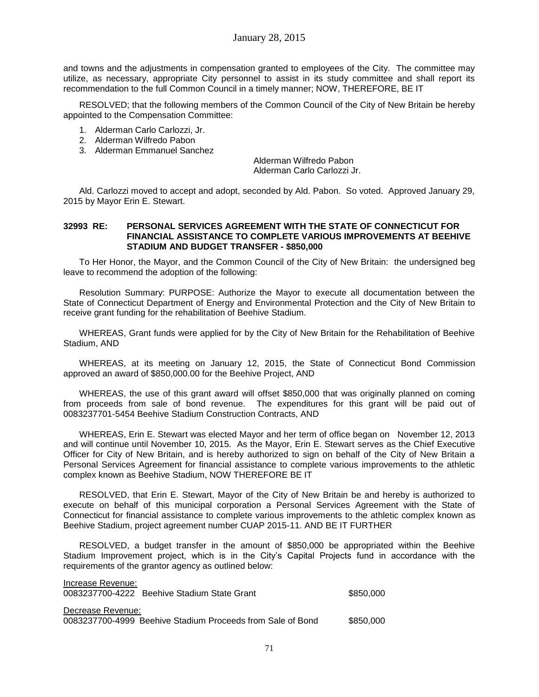and towns and the adjustments in compensation granted to employees of the City. The committee may utilize, as necessary, appropriate City personnel to assist in its study committee and shall report its recommendation to the full Common Council in a timely manner; NOW, THEREFORE, BE IT

RESOLVED; that the following members of the Common Council of the City of New Britain be hereby appointed to the Compensation Committee:

- 1. Alderman Carlo Carlozzi, Jr.
- 2. Alderman Wilfredo Pabon
- 3. Alderman Emmanuel Sanchez

Alderman Wilfredo Pabon Alderman Carlo Carlozzi Jr.

Ald. Carlozzi moved to accept and adopt, seconded by Ald. Pabon. So voted. Approved January 29, 2015 by Mayor Erin E. Stewart.

#### **32993 RE: PERSONAL SERVICES AGREEMENT WITH THE STATE OF CONNECTICUT FOR FINANCIAL ASSISTANCE TO COMPLETE VARIOUS IMPROVEMENTS AT BEEHIVE STADIUM AND BUDGET TRANSFER - \$850,000**

To Her Honor, the Mayor, and the Common Council of the City of New Britain: the undersigned beg leave to recommend the adoption of the following:

Resolution Summary: PURPOSE: Authorize the Mayor to execute all documentation between the State of Connecticut Department of Energy and Environmental Protection and the City of New Britain to receive grant funding for the rehabilitation of Beehive Stadium.

WHEREAS, Grant funds were applied for by the City of New Britain for the Rehabilitation of Beehive Stadium, AND

WHEREAS, at its meeting on January 12, 2015, the State of Connecticut Bond Commission approved an award of \$850,000.00 for the Beehive Project, AND

WHEREAS, the use of this grant award will offset \$850,000 that was originally planned on coming from proceeds from sale of bond revenue. The expenditures for this grant will be paid out of 0083237701-5454 Beehive Stadium Construction Contracts, AND

WHEREAS, Erin E. Stewart was elected Mayor and her term of office began on November 12, 2013 and will continue until November 10, 2015. As the Mayor, Erin E. Stewart serves as the Chief Executive Officer for City of New Britain, and is hereby authorized to sign on behalf of the City of New Britain a Personal Services Agreement for financial assistance to complete various improvements to the athletic complex known as Beehive Stadium, NOW THEREFORE BE IT

RESOLVED, that Erin E. Stewart, Mayor of the City of New Britain be and hereby is authorized to execute on behalf of this municipal corporation a Personal Services Agreement with the State of Connecticut for financial assistance to complete various improvements to the athletic complex known as Beehive Stadium, project agreement number CUAP 2015-11. AND BE IT FURTHER

RESOLVED, a budget transfer in the amount of \$850,000 be appropriated within the Beehive Stadium Improvement project, which is in the City's Capital Projects fund in accordance with the requirements of the grantor agency as outlined below:

| Increase Revenue:<br>0083237700-4222 Beehive Stadium State Grant                | \$850,000 |
|---------------------------------------------------------------------------------|-----------|
| Decrease Revenue:<br>0083237700-4999 Beehive Stadium Proceeds from Sale of Bond | \$850,000 |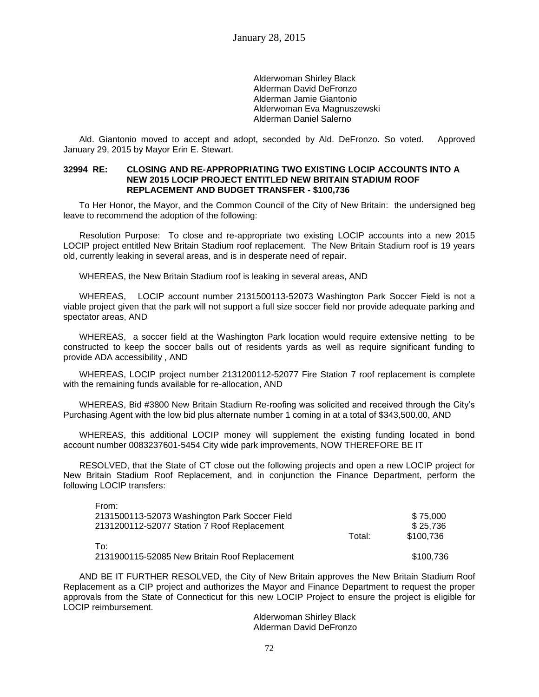Alderwoman Shirley Black Alderman David DeFronzo Alderman Jamie Giantonio Alderwoman Eva Magnuszewski Alderman Daniel Salerno

Ald. Giantonio moved to accept and adopt, seconded by Ald. DeFronzo. So voted. Approved January 29, 2015 by Mayor Erin E. Stewart.

### **32994 RE: CLOSING AND RE-APPROPRIATING TWO EXISTING LOCIP ACCOUNTS INTO A NEW 2015 LOCIP PROJECT ENTITLED NEW BRITAIN STADIUM ROOF REPLACEMENT AND BUDGET TRANSFER - \$100,736**

To Her Honor, the Mayor, and the Common Council of the City of New Britain: the undersigned beg leave to recommend the adoption of the following:

Resolution Purpose: To close and re-appropriate two existing LOCIP accounts into a new 2015 LOCIP project entitled New Britain Stadium roof replacement. The New Britain Stadium roof is 19 years old, currently leaking in several areas, and is in desperate need of repair.

WHEREAS, the New Britain Stadium roof is leaking in several areas, AND

WHEREAS, LOCIP account number 2131500113-52073 Washington Park Soccer Field is not a viable project given that the park will not support a full size soccer field nor provide adequate parking and spectator areas, AND

WHEREAS, a soccer field at the Washington Park location would require extensive netting to be constructed to keep the soccer balls out of residents yards as well as require significant funding to provide ADA accessibility , AND

WHEREAS, LOCIP project number 2131200112-52077 Fire Station 7 roof replacement is complete with the remaining funds available for re-allocation, AND

WHEREAS, Bid #3800 New Britain Stadium Re-roofing was solicited and received through the City's Purchasing Agent with the low bid plus alternate number 1 coming in at a total of \$343,500.00, AND

WHEREAS, this additional LOCIP money will supplement the existing funding located in bond account number 0083237601-5454 City wide park improvements, NOW THEREFORE BE IT

RESOLVED, that the State of CT close out the following projects and open a new LOCIP project for New Britain Stadium Roof Replacement, and in conjunction the Finance Department, perform the following LOCIP transfers:

| From:                                         |        |           |
|-----------------------------------------------|--------|-----------|
| 2131500113-52073 Washington Park Soccer Field |        | \$75,000  |
| 2131200112-52077 Station 7 Roof Replacement   |        | \$25.736  |
|                                               | Total: | \$100,736 |
| To∶                                           |        |           |
| 2131900115-52085 New Britain Roof Replacement |        | \$100,736 |

AND BE IT FURTHER RESOLVED, the City of New Britain approves the New Britain Stadium Roof Replacement as a CIP project and authorizes the Mayor and Finance Department to request the proper approvals from the State of Connecticut for this new LOCIP Project to ensure the project is eligible for LOCIP reimbursement.

> Alderwoman Shirley Black Alderman David DeFronzo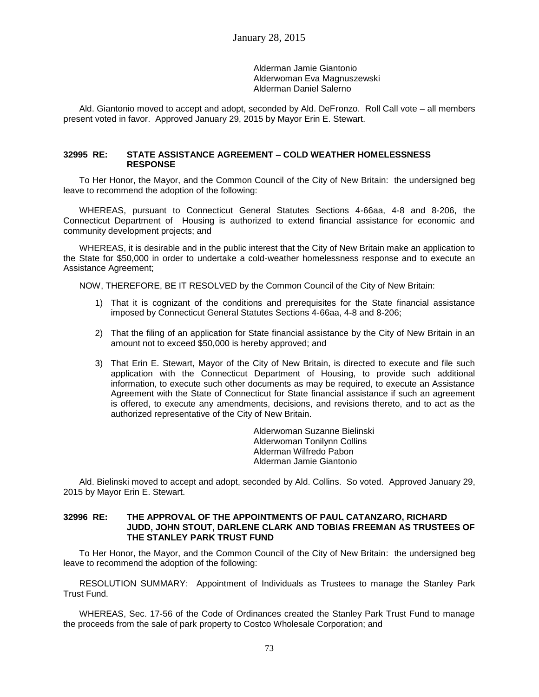Alderman Jamie Giantonio Alderwoman Eva Magnuszewski Alderman Daniel Salerno

Ald. Giantonio moved to accept and adopt, seconded by Ald. DeFronzo. Roll Call vote – all members present voted in favor. Approved January 29, 2015 by Mayor Erin E. Stewart.

### **32995 RE: STATE ASSISTANCE AGREEMENT – COLD WEATHER HOMELESSNESS RESPONSE**

To Her Honor, the Mayor, and the Common Council of the City of New Britain: the undersigned beg leave to recommend the adoption of the following:

WHEREAS, pursuant to Connecticut General Statutes Sections 4-66aa, 4-8 and 8-206, the Connecticut Department of Housing is authorized to extend financial assistance for economic and community development projects; and

WHEREAS, it is desirable and in the public interest that the City of New Britain make an application to the State for \$50,000 in order to undertake a cold-weather homelessness response and to execute an Assistance Agreement;

NOW, THEREFORE, BE IT RESOLVED by the Common Council of the City of New Britain:

- 1) That it is cognizant of the conditions and prerequisites for the State financial assistance imposed by Connecticut General Statutes Sections 4-66aa, 4-8 and 8-206;
- 2) That the filing of an application for State financial assistance by the City of New Britain in an amount not to exceed \$50,000 is hereby approved; and
- 3) That Erin E. Stewart, Mayor of the City of New Britain, is directed to execute and file such application with the Connecticut Department of Housing, to provide such additional information, to execute such other documents as may be required, to execute an Assistance Agreement with the State of Connecticut for State financial assistance if such an agreement is offered, to execute any amendments, decisions, and revisions thereto, and to act as the authorized representative of the City of New Britain.

Alderwoman Suzanne Bielinski Alderwoman Tonilynn Collins Alderman Wilfredo Pabon Alderman Jamie Giantonio

Ald. Bielinski moved to accept and adopt, seconded by Ald. Collins. So voted. Approved January 29, 2015 by Mayor Erin E. Stewart.

### **32996 RE: THE APPROVAL OF THE APPOINTMENTS OF PAUL CATANZARO, RICHARD JUDD, JOHN STOUT, DARLENE CLARK AND TOBIAS FREEMAN AS TRUSTEES OF THE STANLEY PARK TRUST FUND**

To Her Honor, the Mayor, and the Common Council of the City of New Britain: the undersigned beg leave to recommend the adoption of the following:

RESOLUTION SUMMARY: Appointment of Individuals as Trustees to manage the Stanley Park Trust Fund.

WHEREAS, Sec. 17-56 of the Code of Ordinances created the Stanley Park Trust Fund to manage the proceeds from the sale of park property to Costco Wholesale Corporation; and